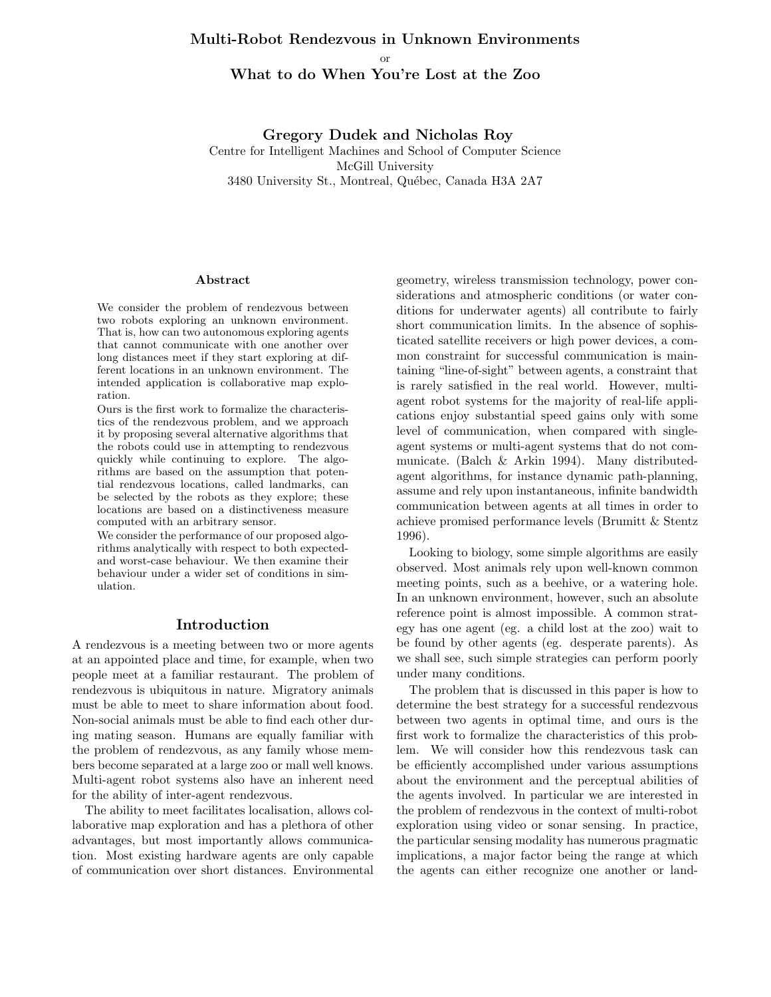# Multi-Robot Rendezvous in Unknown Environments or What to do When You're Lost at the Zoo

Gregory Dudek and Nicholas Roy Centre for Intelligent Machines and School of Computer Science McGill University 3480 University St., Montreal, Québec, Canada H3A 2A7

#### Abstract

We consider the problem of rendezvous between two robots exploring an unknown environment. That is, how can two autonomous exploring agents that cannot communicate with one another over long distances meet if they start exploring at different locations in an unknown environment. The intended application is collaborative map exploration.

Ours is the first work to formalize the characteristics of the rendezvous problem, and we approach it by proposing several alternative algorithms that the robots could use in attempting to rendezvous quickly while continuing to explore. The algorithms are based on the assumption that potential rendezvous locations, called landmarks, can be selected by the robots as they explore; these locations are based on a distinctiveness measure computed with an arbitrary sensor.

We consider the performance of our proposed algorithms analytically with respect to both expectedand worst-case behaviour. We then examine their behaviour under a wider set of conditions in simulation.

#### Introduction

A rendezvous is a meeting between two or more agents at an appointed place and time, for example, when two people meet at a familiar restaurant. The problem of rendezvous is ubiquitous in nature. Migratory animals must be able to meet to share information about food. Non-social animals must be able to find each other during mating season. Humans are equally familiar with the problem of rendezvous, as any family whose members become separated at a large zoo or mall well knows. Multi-agent robot systems also have an inherent need for the ability of inter-agent rendezvous.

The ability to meet facilitates localisation, allows collaborative map exploration and has a plethora of other advantages, but most importantly allows communication. Most existing hardware agents are only capable of communication over short distances. Environmental geometry, wireless transmission technology, power considerations and atmospheric conditions (or water conditions for underwater agents) all contribute to fairly short communication limits. In the absence of sophisticated satellite receivers or high power devices, a common constraint for successful communication is maintaining "line-of-sight" between agents, a constraint that is rarely satisfied in the real world. However, multiagent robot systems for the majority of real-life applications enjoy substantial speed gains only with some level of communication, when compared with singleagent systems or multi-agent systems that do not communicate. (Balch & Arkin 1994). Many distributedagent algorithms, for instance dynamic path-planning, assume and rely upon instantaneous, infinite bandwidth communication between agents at all times in order to achieve promised performance levels (Brumitt & Stentz 1996).

Looking to biology, some simple algorithms are easily observed. Most animals rely upon well-known common meeting points, such as a beehive, or a watering hole. In an unknown environment, however, such an absolute reference point is almost impossible. A common strategy has one agent (eg. a child lost at the zoo) wait to be found by other agents (eg. desperate parents). As we shall see, such simple strategies can perform poorly under many conditions.

The problem that is discussed in this paper is how to determine the best strategy for a successful rendezvous between two agents in optimal time, and ours is the first work to formalize the characteristics of this problem. We will consider how this rendezvous task can be efficiently accomplished under various assumptions about the environment and the perceptual abilities of the agents involved. In particular we are interested in the problem of rendezvous in the context of multi-robot exploration using video or sonar sensing. In practice, the particular sensing modality has numerous pragmatic implications, a major factor being the range at which the agents can either recognize one another or land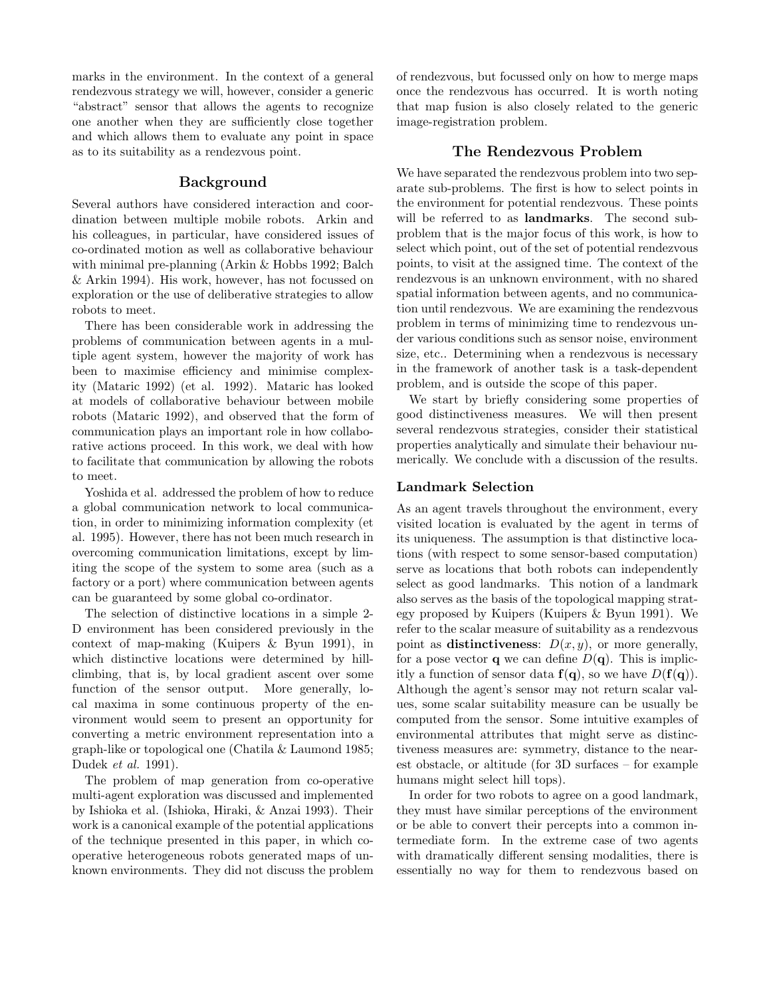marks in the environment. In the context of a general rendezvous strategy we will, however, consider a generic "abstract" sensor that allows the agents to recognize one another when they are sufficiently close together and which allows them to evaluate any point in space as to its suitability as a rendezvous point.

### Background

Several authors have considered interaction and coordination between multiple mobile robots. Arkin and his colleagues, in particular, have considered issues of co-ordinated motion as well as collaborative behaviour with minimal pre-planning (Arkin & Hobbs 1992; Balch & Arkin 1994). His work, however, has not focussed on exploration or the use of deliberative strategies to allow robots to meet.

There has been considerable work in addressing the problems of communication between agents in a multiple agent system, however the majority of work has been to maximise efficiency and minimise complexity (Mataric 1992) (et al. 1992). Mataric has looked at models of collaborative behaviour between mobile robots (Mataric 1992), and observed that the form of communication plays an important role in how collaborative actions proceed. In this work, we deal with how to facilitate that communication by allowing the robots to meet.

Yoshida et al. addressed the problem of how to reduce a global communication network to local communication, in order to minimizing information complexity (et al. 1995). However, there has not been much research in overcoming communication limitations, except by limiting the scope of the system to some area (such as a factory or a port) where communication between agents can be guaranteed by some global co-ordinator.

The selection of distinctive locations in a simple 2- D environment has been considered previously in the context of map-making (Kuipers & Byun 1991), in which distinctive locations were determined by hillclimbing, that is, by local gradient ascent over some function of the sensor output. More generally, local maxima in some continuous property of the environment would seem to present an opportunity for converting a metric environment representation into a graph-like or topological one (Chatila & Laumond 1985; Dudek et al. 1991).

The problem of map generation from co-operative multi-agent exploration was discussed and implemented by Ishioka et al. (Ishioka, Hiraki, & Anzai 1993). Their work is a canonical example of the potential applications of the technique presented in this paper, in which cooperative heterogeneous robots generated maps of unknown environments. They did not discuss the problem of rendezvous, but focussed only on how to merge maps once the rendezvous has occurred. It is worth noting that map fusion is also closely related to the generic image-registration problem.

### The Rendezvous Problem

We have separated the rendezvous problem into two separate sub-problems. The first is how to select points in the environment for potential rendezvous. These points will be referred to as **landmarks**. The second subproblem that is the major focus of this work, is how to select which point, out of the set of potential rendezvous points, to visit at the assigned time. The context of the rendezvous is an unknown environment, with no shared spatial information between agents, and no communication until rendezvous. We are examining the rendezvous problem in terms of minimizing time to rendezvous under various conditions such as sensor noise, environment size, etc.. Determining when a rendezvous is necessary in the framework of another task is a task-dependent problem, and is outside the scope of this paper.

We start by briefly considering some properties of good distinctiveness measures. We will then present several rendezvous strategies, consider their statistical properties analytically and simulate their behaviour numerically. We conclude with a discussion of the results.

### Landmark Selection

As an agent travels throughout the environment, every visited location is evaluated by the agent in terms of its uniqueness. The assumption is that distinctive locations (with respect to some sensor-based computation) serve as locations that both robots can independently select as good landmarks. This notion of a landmark also serves as the basis of the topological mapping strategy proposed by Kuipers (Kuipers & Byun 1991). We refer to the scalar measure of suitability as a rendezvous point as distinctiveness:  $D(x, y)$ , or more generally, for a pose vector **q** we can define  $D(\mathbf{q})$ . This is implicitly a function of sensor data  $f(q)$ , so we have  $D(f(q))$ . Although the agent's sensor may not return scalar values, some scalar suitability measure can be usually be computed from the sensor. Some intuitive examples of environmental attributes that might serve as distinctiveness measures are: symmetry, distance to the nearest obstacle, or altitude (for 3D surfaces – for example humans might select hill tops).

In order for two robots to agree on a good landmark, they must have similar perceptions of the environment or be able to convert their percepts into a common intermediate form. In the extreme case of two agents with dramatically different sensing modalities, there is essentially no way for them to rendezvous based on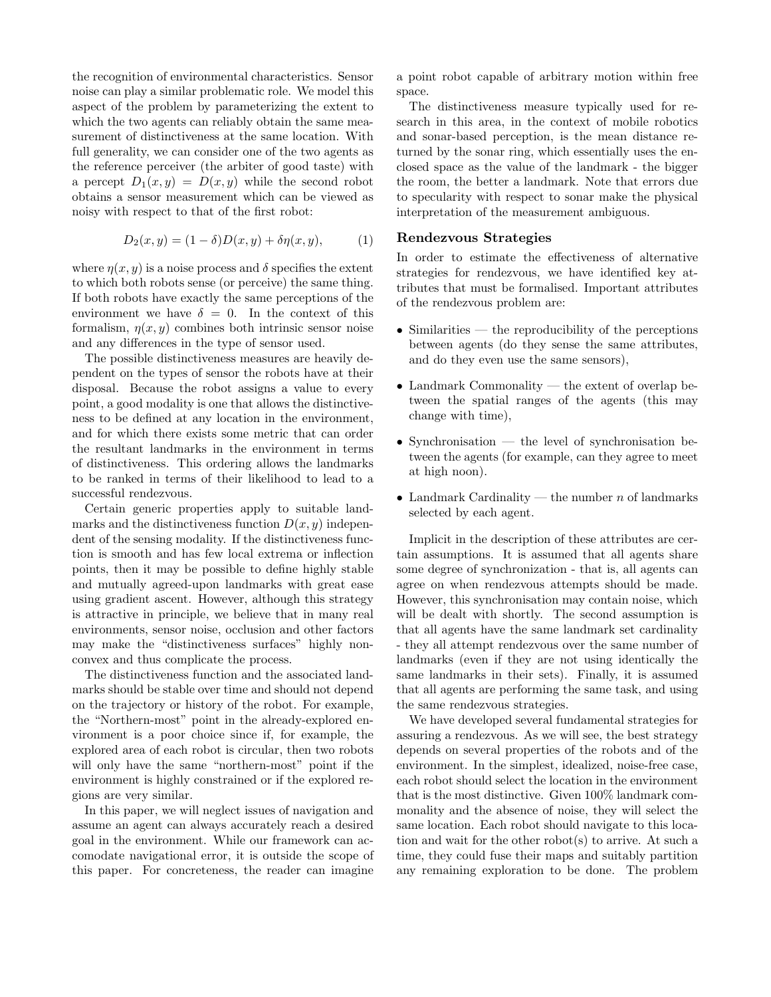the recognition of environmental characteristics. Sensor noise can play a similar problematic role. We model this aspect of the problem by parameterizing the extent to which the two agents can reliably obtain the same measurement of distinctiveness at the same location. With full generality, we can consider one of the two agents as the reference perceiver (the arbiter of good taste) with a percept  $D_1(x, y) = D(x, y)$  while the second robot obtains a sensor measurement which can be viewed as noisy with respect to that of the first robot:

$$
D_2(x, y) = (1 - \delta)D(x, y) + \delta \eta(x, y),
$$
 (1)

where  $\eta(x, y)$  is a noise process and  $\delta$  specifies the extent to which both robots sense (or perceive) the same thing. If both robots have exactly the same perceptions of the environment we have  $\delta = 0$ . In the context of this formalism,  $\eta(x, y)$  combines both intrinsic sensor noise and any differences in the type of sensor used.

The possible distinctiveness measures are heavily dependent on the types of sensor the robots have at their disposal. Because the robot assigns a value to every point, a good modality is one that allows the distinctiveness to be defined at any location in the environment, and for which there exists some metric that can order the resultant landmarks in the environment in terms of distinctiveness. This ordering allows the landmarks to be ranked in terms of their likelihood to lead to a successful rendezvous.

Certain generic properties apply to suitable landmarks and the distinctiveness function  $D(x, y)$  independent of the sensing modality. If the distinctiveness function is smooth and has few local extrema or inflection points, then it may be possible to define highly stable and mutually agreed-upon landmarks with great ease using gradient ascent. However, although this strategy is attractive in principle, we believe that in many real environments, sensor noise, occlusion and other factors may make the "distinctiveness surfaces" highly nonconvex and thus complicate the process.

The distinctiveness function and the associated landmarks should be stable over time and should not depend on the trajectory or history of the robot. For example, the "Northern-most" point in the already-explored environment is a poor choice since if, for example, the explored area of each robot is circular, then two robots will only have the same "northern-most" point if the environment is highly constrained or if the explored regions are very similar.

In this paper, we will neglect issues of navigation and assume an agent can always accurately reach a desired goal in the environment. While our framework can accomodate navigational error, it is outside the scope of this paper. For concreteness, the reader can imagine a point robot capable of arbitrary motion within free space.

The distinctiveness measure typically used for research in this area, in the context of mobile robotics and sonar-based perception, is the mean distance returned by the sonar ring, which essentially uses the enclosed space as the value of the landmark - the bigger the room, the better a landmark. Note that errors due to specularity with respect to sonar make the physical interpretation of the measurement ambiguous.

### Rendezvous Strategies

In order to estimate the effectiveness of alternative strategies for rendezvous, we have identified key attributes that must be formalised. Important attributes of the rendezvous problem are:

- Similarities the reproducibility of the perceptions between agents (do they sense the same attributes, and do they even use the same sensors),
- Landmark Commonality the extent of overlap between the spatial ranges of the agents (this may change with time),
- Synchronisation the level of synchronisation between the agents (for example, can they agree to meet at high noon).
- Landmark Cardinality the number  $n$  of landmarks selected by each agent.

Implicit in the description of these attributes are certain assumptions. It is assumed that all agents share some degree of synchronization - that is, all agents can agree on when rendezvous attempts should be made. However, this synchronisation may contain noise, which will be dealt with shortly. The second assumption is that all agents have the same landmark set cardinality - they all attempt rendezvous over the same number of landmarks (even if they are not using identically the same landmarks in their sets). Finally, it is assumed that all agents are performing the same task, and using the same rendezvous strategies.

We have developed several fundamental strategies for assuring a rendezvous. As we will see, the best strategy depends on several properties of the robots and of the environment. In the simplest, idealized, noise-free case, each robot should select the location in the environment that is the most distinctive. Given 100% landmark commonality and the absence of noise, they will select the same location. Each robot should navigate to this location and wait for the other robot(s) to arrive. At such a time, they could fuse their maps and suitably partition any remaining exploration to be done. The problem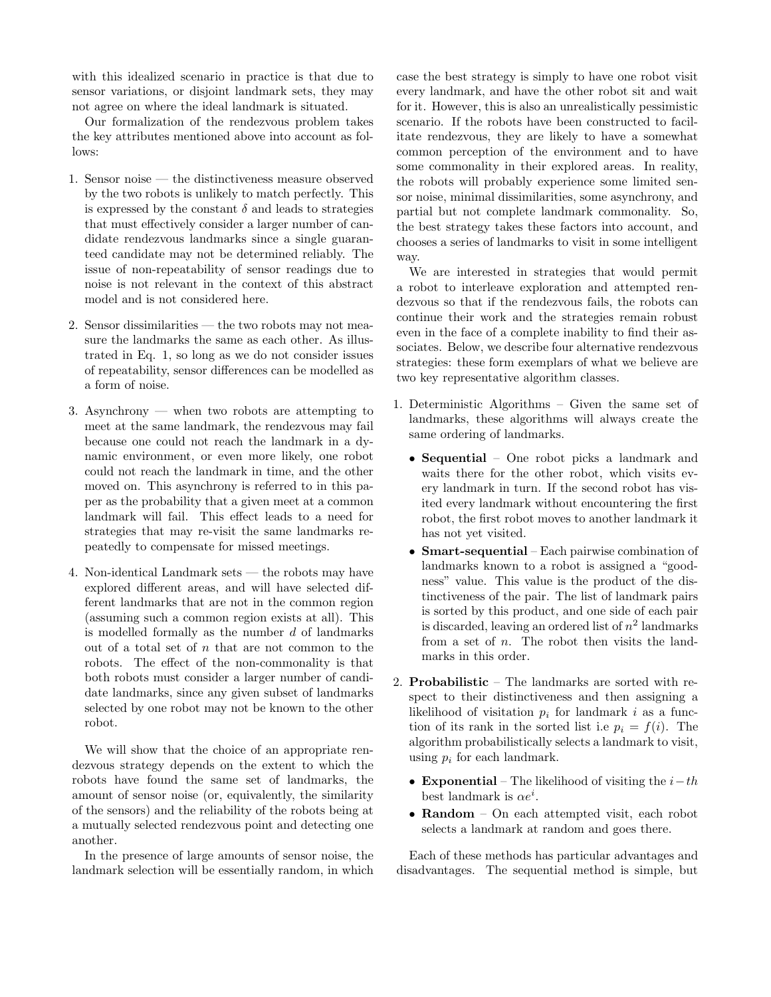with this idealized scenario in practice is that due to sensor variations, or disjoint landmark sets, they may not agree on where the ideal landmark is situated.

Our formalization of the rendezvous problem takes the key attributes mentioned above into account as follows:

- 1. Sensor noise the distinctiveness measure observed by the two robots is unlikely to match perfectly. This is expressed by the constant  $\delta$  and leads to strategies that must effectively consider a larger number of candidate rendezvous landmarks since a single guaranteed candidate may not be determined reliably. The issue of non-repeatability of sensor readings due to noise is not relevant in the context of this abstract model and is not considered here.
- 2. Sensor dissimilarities the two robots may not measure the landmarks the same as each other. As illustrated in Eq. 1, so long as we do not consider issues of repeatability, sensor differences can be modelled as a form of noise.
- 3. Asynchrony when two robots are attempting to meet at the same landmark, the rendezvous may fail because one could not reach the landmark in a dynamic environment, or even more likely, one robot could not reach the landmark in time, and the other moved on. This asynchrony is referred to in this paper as the probability that a given meet at a common landmark will fail. This effect leads to a need for strategies that may re-visit the same landmarks repeatedly to compensate for missed meetings.
- 4. Non-identical Landmark sets the robots may have explored different areas, and will have selected different landmarks that are not in the common region (assuming such a common region exists at all). This is modelled formally as the number  $d$  of landmarks out of a total set of  $n$  that are not common to the robots. The effect of the non-commonality is that both robots must consider a larger number of candidate landmarks, since any given subset of landmarks selected by one robot may not be known to the other robot.

We will show that the choice of an appropriate rendezvous strategy depends on the extent to which the robots have found the same set of landmarks, the amount of sensor noise (or, equivalently, the similarity of the sensors) and the reliability of the robots being at a mutually selected rendezvous point and detecting one another.

In the presence of large amounts of sensor noise, the landmark selection will be essentially random, in which case the best strategy is simply to have one robot visit every landmark, and have the other robot sit and wait for it. However, this is also an unrealistically pessimistic scenario. If the robots have been constructed to facilitate rendezvous, they are likely to have a somewhat common perception of the environment and to have some commonality in their explored areas. In reality, the robots will probably experience some limited sensor noise, minimal dissimilarities, some asynchrony, and partial but not complete landmark commonality. So, the best strategy takes these factors into account, and chooses a series of landmarks to visit in some intelligent way.

We are interested in strategies that would permit a robot to interleave exploration and attempted rendezvous so that if the rendezvous fails, the robots can continue their work and the strategies remain robust even in the face of a complete inability to find their associates. Below, we describe four alternative rendezvous strategies: these form exemplars of what we believe are two key representative algorithm classes.

- 1. Deterministic Algorithms Given the same set of landmarks, these algorithms will always create the same ordering of landmarks.
	- Sequential One robot picks a landmark and waits there for the other robot, which visits every landmark in turn. If the second robot has visited every landmark without encountering the first robot, the first robot moves to another landmark it has not yet visited.
	- **Smart-sequential** Each pairwise combination of landmarks known to a robot is assigned a "goodness" value. This value is the product of the distinctiveness of the pair. The list of landmark pairs is sorted by this product, and one side of each pair is discarded, leaving an ordered list of  $n^2$  landmarks from a set of  $n$ . The robot then visits the landmarks in this order.
- 2. Probabilistic The landmarks are sorted with respect to their distinctiveness and then assigning a likelihood of visitation  $p_i$  for landmark i as a function of its rank in the sorted list i.e  $p_i = f(i)$ . The algorithm probabilistically selects a landmark to visit, using  $p_i$  for each landmark.
	- Exponential The likelihood of visiting the  $i-th$ best landmark is  $\alpha e^i$ .
	- Random On each attempted visit, each robot selects a landmark at random and goes there.

Each of these methods has particular advantages and disadvantages. The sequential method is simple, but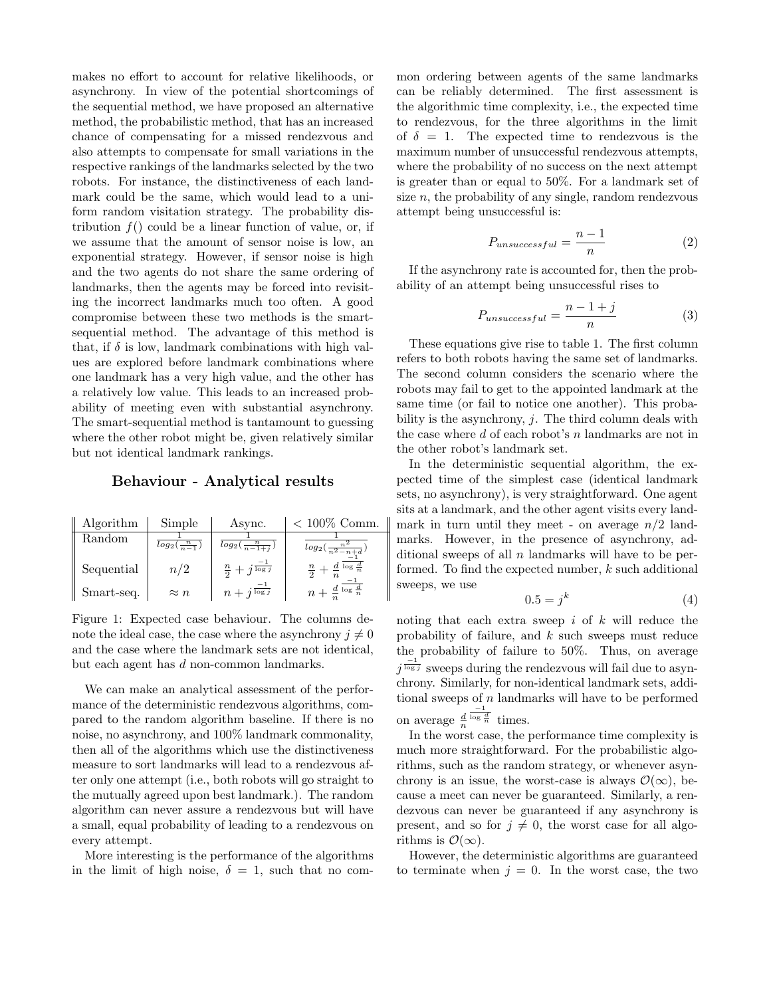makes no effort to account for relative likelihoods, or asynchrony. In view of the potential shortcomings of the sequential method, we have proposed an alternative method, the probabilistic method, that has an increased chance of compensating for a missed rendezvous and also attempts to compensate for small variations in the respective rankings of the landmarks selected by the two robots. For instance, the distinctiveness of each landmark could be the same, which would lead to a uniform random visitation strategy. The probability distribution  $f()$  could be a linear function of value, or, if we assume that the amount of sensor noise is low, an exponential strategy. However, if sensor noise is high and the two agents do not share the same ordering of landmarks, then the agents may be forced into revisiting the incorrect landmarks much too often. A good compromise between these two methods is the smartsequential method. The advantage of this method is that, if  $\delta$  is low, landmark combinations with high values are explored before landmark combinations where one landmark has a very high value, and the other has a relatively low value. This leads to an increased probability of meeting even with substantial asynchrony. The smart-sequential method is tantamount to guessing where the other robot might be, given relatively similar but not identical landmark rankings.

### Behaviour - Analytical results

| Algorithm  | Simple                 | Async.                           | $< 100\%$ Comm.                             |
|------------|------------------------|----------------------------------|---------------------------------------------|
| Random     | $log_2(\frac{n}{n-1})$ | $log_2(\frac{n}{n-1+j})$         | $log_2(\frac{n^2}{n^2-n+d})$                |
| Sequential | n/2                    | $\frac{n}{2}+j\frac{-1}{\log j}$ | $\frac{n}{2}+\frac{d}{n}$ log $\frac{d}{n}$ |
| Smart-seq. | $\approx n$            | $n+j\frac{-1}{\log j}$           | $n+\frac{d}{n}$ log $\frac{d}{n}$           |

Figure 1: Expected case behaviour. The columns denote the ideal case, the case where the asynchrony  $i \neq 0$ and the case where the landmark sets are not identical, but each agent has d non-common landmarks.

We can make an analytical assessment of the performance of the deterministic rendezvous algorithms, compared to the random algorithm baseline. If there is no noise, no asynchrony, and 100% landmark commonality, then all of the algorithms which use the distinctiveness measure to sort landmarks will lead to a rendezvous after only one attempt (i.e., both robots will go straight to the mutually agreed upon best landmark.). The random algorithm can never assure a rendezvous but will have a small, equal probability of leading to a rendezvous on every attempt.

More interesting is the performance of the algorithms in the limit of high noise,  $\delta = 1$ , such that no common ordering between agents of the same landmarks can be reliably determined. The first assessment is the algorithmic time complexity, i.e., the expected time to rendezvous, for the three algorithms in the limit of  $\delta = 1$ . The expected time to rendezvous is the maximum number of unsuccessful rendezvous attempts, where the probability of no success on the next attempt is greater than or equal to 50%. For a landmark set of size  $n$ , the probability of any single, random rendezvous attempt being unsuccessful is:

$$
P_{unsuccessful} = \frac{n-1}{n} \tag{2}
$$

If the asynchrony rate is accounted for, then the probability of an attempt being unsuccessful rises to

$$
P_{unsuccessful} = \frac{n - 1 + j}{n} \tag{3}
$$

These equations give rise to table 1. The first column refers to both robots having the same set of landmarks. The second column considers the scenario where the robots may fail to get to the appointed landmark at the same time (or fail to notice one another). This probability is the asynchrony,  $j$ . The third column deals with the case where  $d$  of each robot's  $n$  landmarks are not in the other robot's landmark set.

In the deterministic sequential algorithm, the expected time of the simplest case (identical landmark sets, no asynchrony), is very straightforward. One agent sits at a landmark, and the other agent visits every landmark in turn until they meet - on average  $n/2$  landmarks. However, in the presence of asynchrony, additional sweeps of all  $n$  landmarks will have to be performed. To find the expected number,  $k$  such additional sweeps, we use

$$
0.5 = j^k \tag{4}
$$

noting that each extra sweep  $i$  of  $k$  will reduce the probability of failure, and k such sweeps must reduce the probability of failure to 50%. Thus, on average  $j^{\frac{-1}{\log j}}$  sweeps during the rendezvous will fail due to asynchrony. Similarly, for non-identical landmark sets, additional sweeps of  $n$  landmarks will have to be performed on average  $\frac{d}{n}$  $\frac{-1}{\log \frac{d}{n}}$  times.

In the worst case, the performance time complexity is much more straightforward. For the probabilistic algorithms, such as the random strategy, or whenever asynchrony is an issue, the worst-case is always  $\mathcal{O}(\infty)$ , because a meet can never be guaranteed. Similarly, a rendezvous can never be guaranteed if any asynchrony is present, and so for  $j \neq 0$ , the worst case for all algorithms is  $\mathcal{O}(\infty)$ .

However, the deterministic algorithms are guaranteed to terminate when  $j = 0$ . In the worst case, the two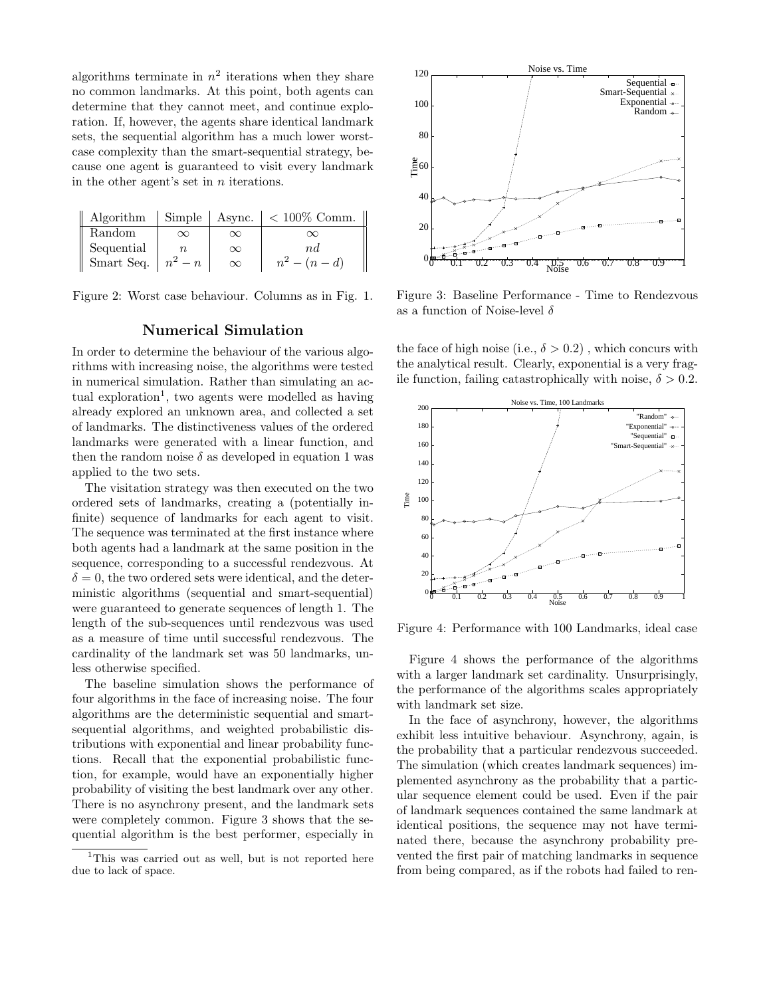algorithms terminate in  $n^2$  iterations when they share no common landmarks. At this point, both agents can determine that they cannot meet, and continue exploration. If, however, the agents share identical landmark sets, the sequential algorithm has a much lower worstcase complexity than the smart-sequential strategy, because one agent is guaranteed to visit every landmark in the other agent's set in n iterations.

| Algorithm                 |          |          | Simple   Async. $\vert < 100\%$ Comm. |
|---------------------------|----------|----------|---------------------------------------|
| Random                    | $\infty$ | $\infty$ | $\infty$                              |
| Sequential                |          | $\infty$ | $n_{d}$                               |
| Smart Seq. $\mid n^2 - n$ |          | $\infty$ | $n^2 - (n - d)$                       |

Figure 2: Worst case behaviour. Columns as in Fig. 1.

## Numerical Simulation

In order to determine the behaviour of the various algorithms with increasing noise, the algorithms were tested in numerical simulation. Rather than simulating an actual exploration<sup>1</sup>, two agents were modelled as having already explored an unknown area, and collected a set of landmarks. The distinctiveness values of the ordered landmarks were generated with a linear function, and then the random noise  $\delta$  as developed in equation 1 was applied to the two sets.

The visitation strategy was then executed on the two ordered sets of landmarks, creating a (potentially infinite) sequence of landmarks for each agent to visit. The sequence was terminated at the first instance where both agents had a landmark at the same position in the sequence, corresponding to a successful rendezvous. At  $\delta = 0$ , the two ordered sets were identical, and the deterministic algorithms (sequential and smart-sequential) were guaranteed to generate sequences of length 1. The length of the sub-sequences until rendezvous was used as a measure of time until successful rendezvous. The cardinality of the landmark set was 50 landmarks, unless otherwise specified.

The baseline simulation shows the performance of four algorithms in the face of increasing noise. The four algorithms are the deterministic sequential and smartsequential algorithms, and weighted probabilistic distributions with exponential and linear probability functions. Recall that the exponential probabilistic function, for example, would have an exponentially higher probability of visiting the best landmark over any other. There is no asynchrony present, and the landmark sets were completely common. Figure 3 shows that the sequential algorithm is the best performer, especially in



Figure 3: Baseline Performance - Time to Rendezvous as a function of Noise-level  $\delta$ 

the face of high noise (i.e.,  $\delta > 0.2$ ), which concurs with the analytical result. Clearly, exponential is a very fragile function, failing catastrophically with noise,  $\delta > 0.2$ .



Figure 4: Performance with 100 Landmarks, ideal case

Figure 4 shows the performance of the algorithms with a larger landmark set cardinality. Unsurprisingly, the performance of the algorithms scales appropriately with landmark set size.

In the face of asynchrony, however, the algorithms exhibit less intuitive behaviour. Asynchrony, again, is the probability that a particular rendezvous succeeded. The simulation (which creates landmark sequences) implemented asynchrony as the probability that a particular sequence element could be used. Even if the pair of landmark sequences contained the same landmark at identical positions, the sequence may not have terminated there, because the asynchrony probability prevented the first pair of matching landmarks in sequence from being compared, as if the robots had failed to ren-

<sup>&</sup>lt;sup>1</sup>This was carried out as well, but is not reported here due to lack of space.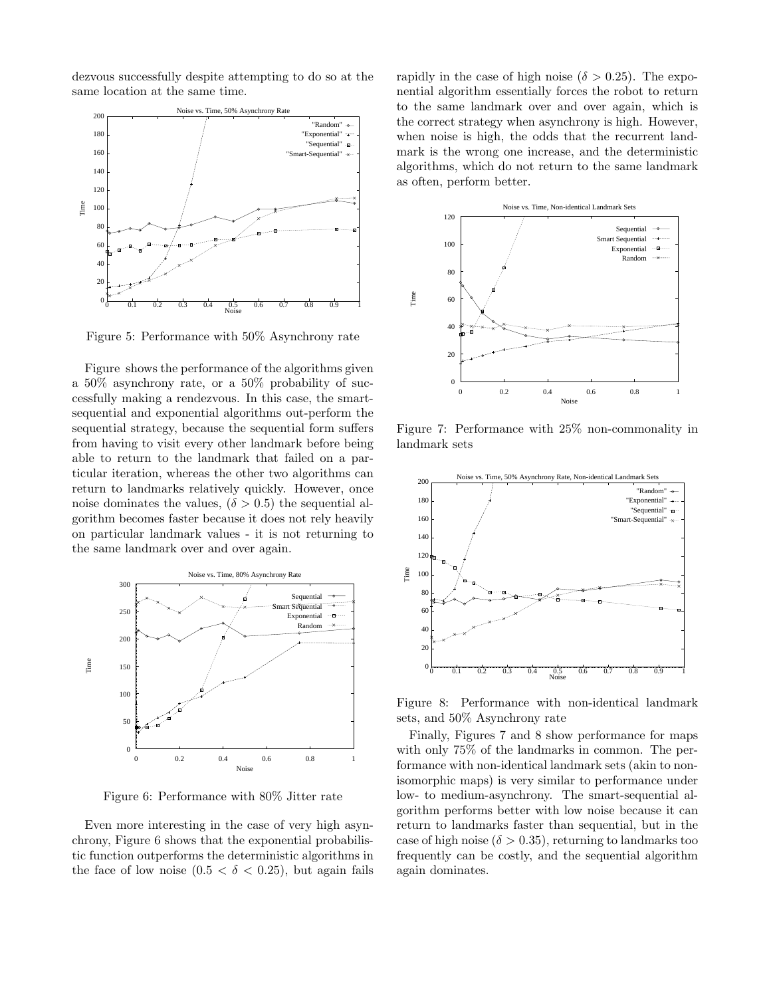dezvous successfully despite attempting to do so at the same location at the same time.



Figure 5: Performance with 50% Asynchrony rate

Figure shows the performance of the algorithms given a 50% asynchrony rate, or a 50% probability of successfully making a rendezvous. In this case, the smartsequential and exponential algorithms out-perform the sequential strategy, because the sequential form suffers from having to visit every other landmark before being able to return to the landmark that failed on a particular iteration, whereas the other two algorithms can return to landmarks relatively quickly. However, once noise dominates the values,  $(\delta > 0.5)$  the sequential algorithm becomes faster because it does not rely heavily on particular landmark values - it is not returning to the same landmark over and over again.



Figure 6: Performance with 80% Jitter rate

Even more interesting in the case of very high asynchrony, Figure 6 shows that the exponential probabilistic function outperforms the deterministic algorithms in the face of low noise  $(0.5 < \delta < 0.25)$ , but again fails rapidly in the case of high noise ( $\delta > 0.25$ ). The exponential algorithm essentially forces the robot to return to the same landmark over and over again, which is the correct strategy when asynchrony is high. However, when noise is high, the odds that the recurrent landmark is the wrong one increase, and the deterministic algorithms, which do not return to the same landmark as often, perform better.



Figure 7: Performance with 25% non-commonality in landmark sets



Figure 8: Performance with non-identical landmark sets, and 50% Asynchrony rate

Finally, Figures 7 and 8 show performance for maps with only 75% of the landmarks in common. The performance with non-identical landmark sets (akin to nonisomorphic maps) is very similar to performance under low- to medium-asynchrony. The smart-sequential algorithm performs better with low noise because it can return to landmarks faster than sequential, but in the case of high noise ( $\delta > 0.35$ ), returning to landmarks too frequently can be costly, and the sequential algorithm again dominates.